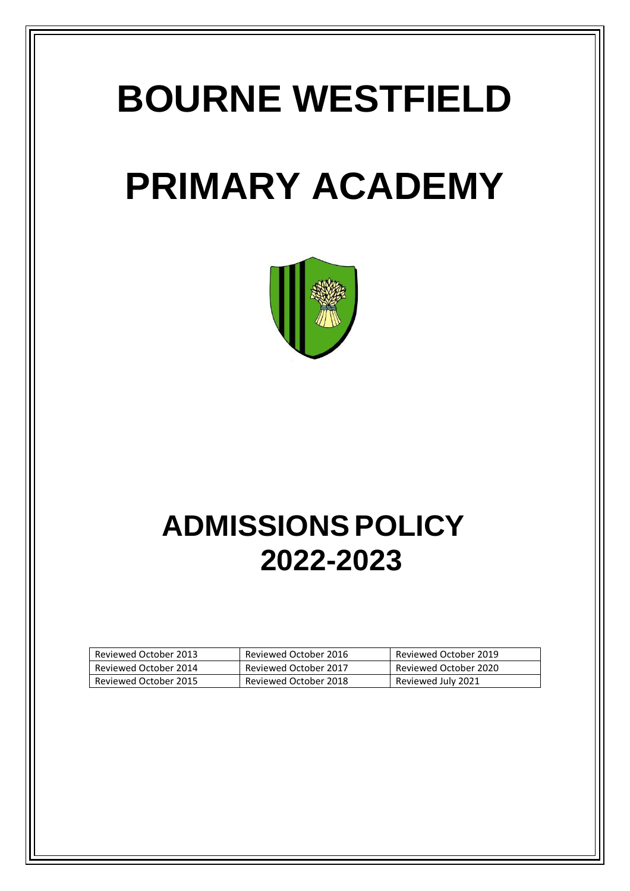# **BOURNE WESTFIELD**

# **PRIMARY ACADEMY**



# **ADMISSIONS POLICY 2022-2023**

| Reviewed October 2013 | Reviewed October 2016 | Reviewed October 2019 |
|-----------------------|-----------------------|-----------------------|
| Reviewed October 2014 | Reviewed October 2017 | Reviewed October 2020 |
| Reviewed October 2015 | Reviewed October 2018 | Reviewed July 2021    |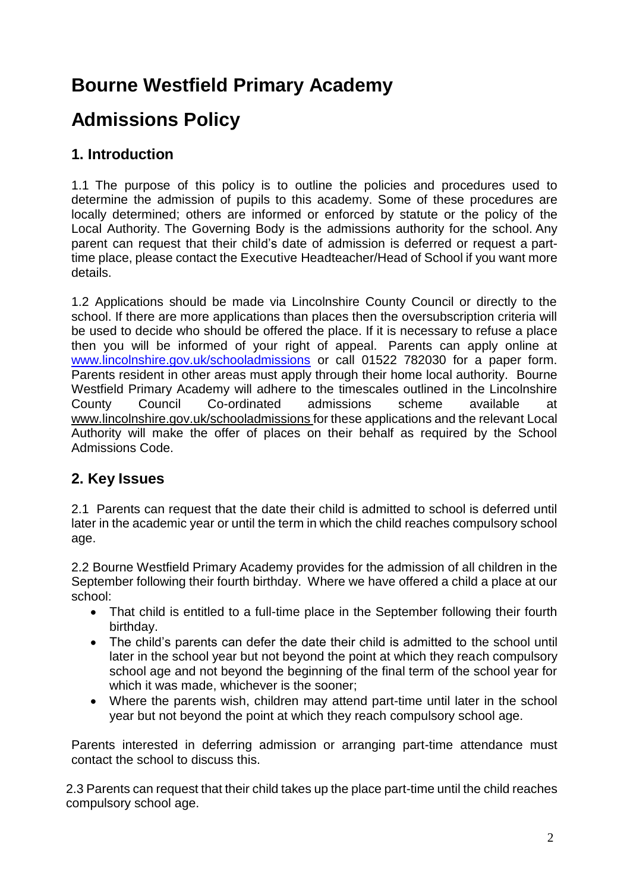# **Bourne Westfield Primary Academy**

# **Admissions Policy**

## **1. Introduction**

1.1 The purpose of this policy is to outline the policies and procedures used to determine the admission of pupils to this academy. Some of these procedures are locally determined; others are informed or enforced by statute or the policy of the Local Authority. The Governing Body is the admissions authority for the school. Any parent can request that their child's date of admission is deferred or request a parttime place, please contact the Executive Headteacher/Head of School if you want more details.

1.2 Applications should be made via Lincolnshire County Council or directly to the school. If there are more applications than places then the oversubscription criteria will be used to decide who should be offered the place. If it is necessary to refuse a place then you will be informed of your right of appeal. Parents can apply online at [www.lincolnshire.gov.uk/schooladmissions](http://www.lincolnshire.gov.uk/schooladmissions) or call 01522 782030 for a paper form. Parents resident in other areas must apply through their home local authority. Bourne Westfield Primary Academy will adhere to the timescales outlined in the Lincolnshire County Council Co-ordinated admissions scheme available at [www.lincolnshire.gov.uk/schooladmissions](http://www.lincolnshire.gov.uk/schooladmissions) for these applications and the relevant Local Authority will make the offer of places on their behalf as required by the School Admissions Code.

### **2. Key Issues**

2.1 Parents can request that the date their child is admitted to school is deferred until later in the academic year or until the term in which the child reaches compulsory school age.

2.2 Bourne Westfield Primary Academy provides for the admission of all children in the September following their fourth birthday. Where we have offered a child a place at our school:

- That child is entitled to a full-time place in the September following their fourth birthday.
- The child's parents can defer the date their child is admitted to the school until later in the school year but not beyond the point at which they reach compulsory school age and not beyond the beginning of the final term of the school year for which it was made, whichever is the sooner;
- Where the parents wish, children may attend part-time until later in the school year but not beyond the point at which they reach compulsory school age.

Parents interested in deferring admission or arranging part-time attendance must contact the school to discuss this.

2.3 Parents can request that their child takes up the place part-time until the child reaches compulsory school age.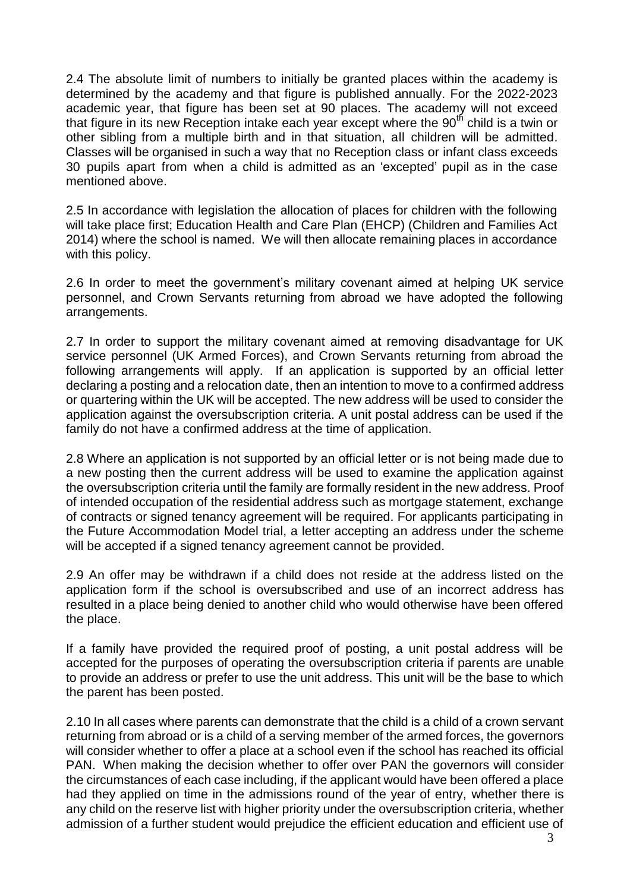2.4 The absolute limit of numbers to initially be granted places within the academy is determined by the academy and that figure is published annually. For the 2022-2023 academic year, that figure has been set at 90 places. The academy will not exceed that figure in its new Reception intake each year except where the 90<sup>th</sup> child is a twin or other sibling from a multiple birth and in that situation, all children will be admitted. Classes will be organised in such a way that no Reception class or infant class exceeds 30 pupils apart from when a child is admitted as an 'excepted' pupil as in the case mentioned above.

2.5 In accordance with legislation the allocation of places for children with the following will take place first; Education Health and Care Plan (EHCP) (Children and Families Act 2014) where the school is named. We will then allocate remaining places in accordance with this policy.

2.6 In order to meet the government's military covenant aimed at helping UK service personnel, and Crown Servants returning from abroad we have adopted the following arrangements.

2.7 In order to support the military covenant aimed at removing disadvantage for UK service personnel (UK Armed Forces), and Crown Servants returning from abroad the following arrangements will apply. If an application is supported by an official letter declaring a posting and a relocation date, then an intention to move to a confirmed address or quartering within the UK will be accepted. The new address will be used to consider the application against the oversubscription criteria. A unit postal address can be used if the family do not have a confirmed address at the time of application.

2.8 Where an application is not supported by an official letter or is not being made due to a new posting then the current address will be used to examine the application against the oversubscription criteria until the family are formally resident in the new address. Proof of intended occupation of the residential address such as mortgage statement, exchange of contracts or signed tenancy agreement will be required. For applicants participating in the Future Accommodation Model trial, a letter accepting an address under the scheme will be accepted if a signed tenancy agreement cannot be provided.

2.9 An offer may be withdrawn if a child does not reside at the address listed on the application form if the school is oversubscribed and use of an incorrect address has resulted in a place being denied to another child who would otherwise have been offered the place.

If a family have provided the required proof of posting, a unit postal address will be accepted for the purposes of operating the oversubscription criteria if parents are unable to provide an address or prefer to use the unit address. This unit will be the base to which the parent has been posted.

2.10 In all cases where parents can demonstrate that the child is a child of a crown servant returning from abroad or is a child of a serving member of the armed forces, the governors will consider whether to offer a place at a school even if the school has reached its official PAN. When making the decision whether to offer over PAN the governors will consider the circumstances of each case including, if the applicant would have been offered a place had they applied on time in the admissions round of the year of entry, whether there is any child on the reserve list with higher priority under the oversubscription criteria, whether admission of a further student would prejudice the efficient education and efficient use of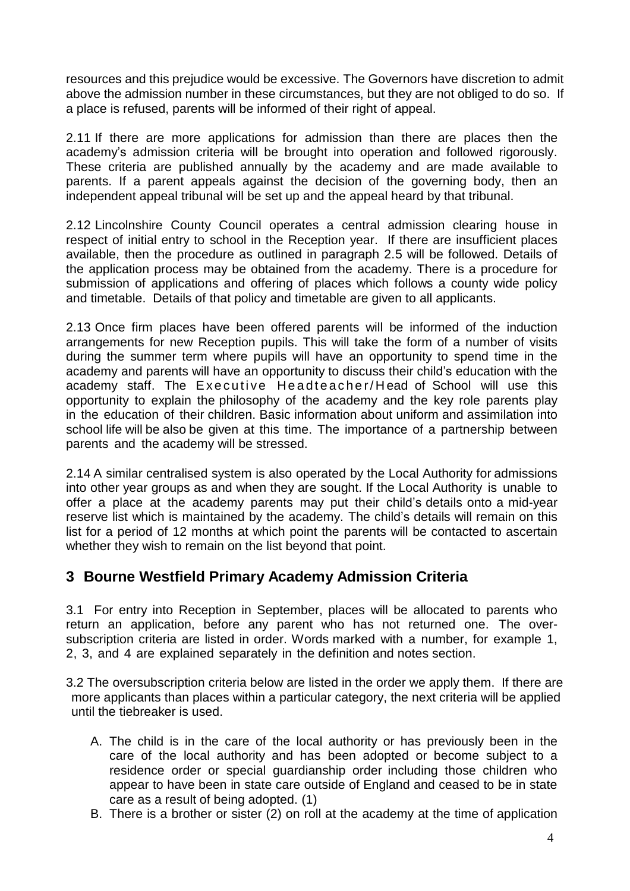resources and this prejudice would be excessive. The Governors have discretion to admit above the admission number in these circumstances, but they are not obliged to do so. If a place is refused, parents will be informed of their right of appeal.

2.11 If there are more applications for admission than there are places then the academy's admission criteria will be brought into operation and followed rigorously. These criteria are published annually by the academy and are made available to parents. If a parent appeals against the decision of the governing body, then an independent appeal tribunal will be set up and the appeal heard by that tribunal.

2.12 Lincolnshire County Council operates a central admission clearing house in respect of initial entry to school in the Reception year. If there are insufficient places available, then the procedure as outlined in paragraph 2.5 will be followed. Details of the application process may be obtained from the academy. There is a procedure for submission of applications and offering of places which follows a county wide policy and timetable. Details of that policy and timetable are given to all applicants.

2.13 Once firm places have been offered parents will be informed of the induction arrangements for new Reception pupils. This will take the form of a number of visits during the summer term where pupils will have an opportunity to spend time in the academy and parents will have an opportunity to discuss their child's education with the academy staff. The Executive Headteacher/Head of School will use this opportunity to explain the philosophy of the academy and the key role parents play in the education of their children. Basic information about uniform and assimilation into school life will be also be given at this time. The importance of a partnership between parents and the academy will be stressed.

2.14 A similar centralised system is also operated by the Local Authority for admissions into other year groups as and when they are sought. If the Local Authority is unable to offer a place at the academy parents may put their child's details onto a mid-year reserve list which is maintained by the academy. The child's details will remain on this list for a period of 12 months at which point the parents will be contacted to ascertain whether they wish to remain on the list beyond that point.

### **3 Bourne Westfield Primary Academy Admission Criteria**

3.1 For entry into Reception in September, places will be allocated to parents who return an application, before any parent who has not returned one. The oversubscription criteria are listed in order. Words marked with a number, for example 1, 2, 3, and 4 are explained separately in the definition and notes section.

3.2 The oversubscription criteria below are listed in the order we apply them. If there are more applicants than places within a particular category, the next criteria will be applied until the tiebreaker is used.

- A. The child is in the care of the local authority or has previously been in the care of the local authority and has been adopted or become subject to a residence order or special guardianship order including those children who appear to have been in state care outside of England and ceased to be in state care as a result of being adopted. (1)
- B. There is a brother or sister (2) on roll at the academy at the time of application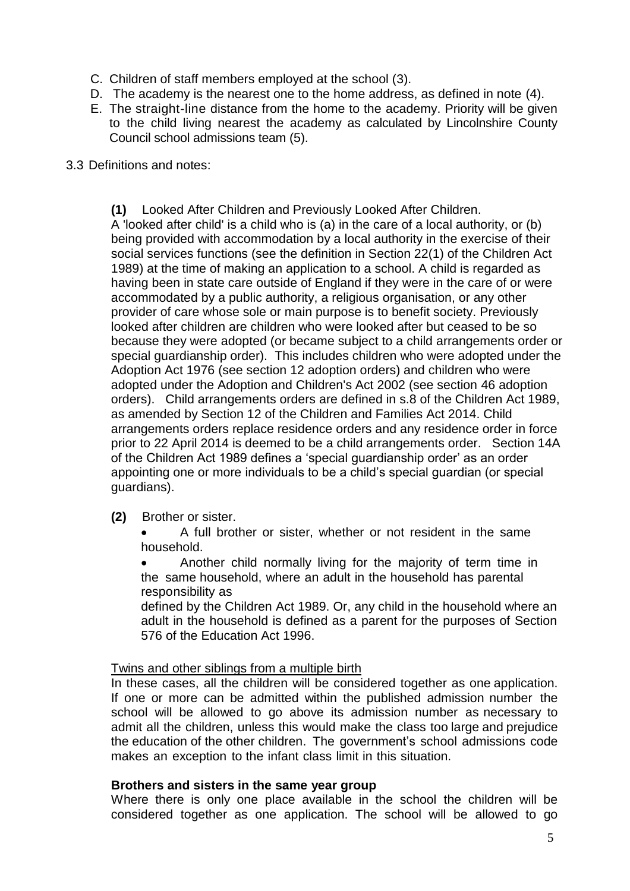- C. Children of staff members employed at the school (3).
- D. The academy is the nearest one to the home address, as defined in note (4).
- E. The straight-line distance from the home to the academy. Priority will be given to the child living nearest the academy as calculated by Lincolnshire County Council school admissions team (5).

#### 3.3 Definitions and notes:

**(1)** Looked After Children and Previously Looked After Children. A 'looked after child' is a child who is (a) in the care of a local authority, or (b) being provided with accommodation by a local authority in the exercise of their social services functions (see the definition in Section 22(1) of the Children Act 1989) at the time of making an application to a school. A child is regarded as having been in state care outside of England if they were in the care of or were accommodated by a public authority, a religious organisation, or any other provider of care whose sole or main purpose is to benefit society. Previously looked after children are children who were looked after but ceased to be so because they were adopted (or became subject to a child arrangements order or special guardianship order). This includes children who were adopted under the Adoption Act 1976 (see section 12 adoption orders) and children who were adopted under the Adoption and Children's Act 2002 (see section 46 adoption orders). Child arrangements orders are defined in s.8 of the Children Act 1989, as amended by Section 12 of the Children and Families Act 2014. Child arrangements orders replace residence orders and any residence order in force prior to 22 April 2014 is deemed to be a child arrangements order. Section 14A of the Children Act 1989 defines a 'special guardianship order' as an order appointing one or more individuals to be a child's special guardian (or special guardians).

#### **(2)** Brother or sister.

 A full brother or sister, whether or not resident in the same household.

 Another child normally living for the majority of term time in the same household, where an adult in the household has parental responsibility as

defined by the Children Act 1989. Or, any child in the household where an adult in the household is defined as a parent for the purposes of Section 576 of the Education Act 1996.

#### Twins and other siblings from a multiple birth

In these cases, all the children will be considered together as one application. If one or more can be admitted within the published admission number the school will be allowed to go above its admission number as necessary to admit all the children, unless this would make the class too large and prejudice the education of the other children. The government's school admissions code makes an exception to the infant class limit in this situation.

#### **Brothers and sisters in the same year group**

Where there is only one place available in the school the children will be considered together as one application. The school will be allowed to go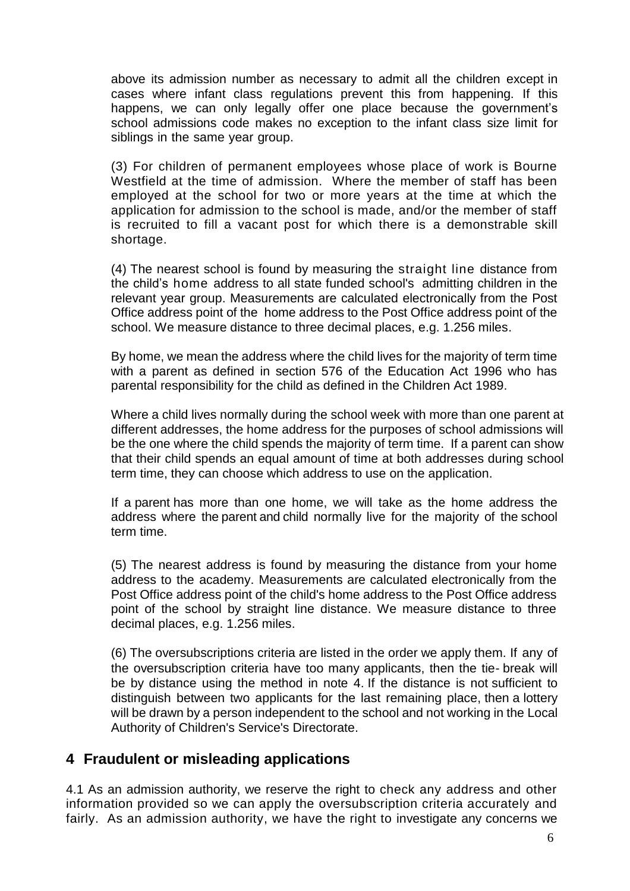above its admission number as necessary to admit all the children except in cases where infant class regulations prevent this from happening. If this happens, we can only legally offer one place because the government's school admissions code makes no exception to the infant class size limit for siblings in the same year group.

(3) For children of permanent employees whose place of work is Bourne Westfield at the time of admission. Where the member of staff has been employed at the school for two or more years at the time at which the application for admission to the school is made, and/or the member of staff is recruited to fill a vacant post for which there is a demonstrable skill shortage.

(4) The nearest school is found by measuring the straight line distance from the child's home address to all state funded school's admitting children in the relevant year group. Measurements are calculated electronically from the Post Office address point of the home address to the Post Office address point of the school. We measure distance to three decimal places, e.g. 1.256 miles.

By home, we mean the address where the child lives for the majority of term time with a parent as defined in section 576 of the Education Act 1996 who has parental responsibility for the child as defined in the Children Act 1989.

Where a child lives normally during the school week with more than one parent at different addresses, the home address for the purposes of school admissions will be the one where the child spends the majority of term time. If a parent can show that their child spends an equal amount of time at both addresses during school term time, they can choose which address to use on the application.

If a parent has more than one home, we will take as the home address the address where the parent and child normally live for the majority of the school term time.

(5) The nearest address is found by measuring the distance from your home address to the academy. Measurements are calculated electronically from the Post Office address point of the child's home address to the Post Office address point of the school by straight line distance. We measure distance to three decimal places, e.g. 1.256 miles.

(6) The oversubscriptions criteria are listed in the order we apply them. If any of the oversubscription criteria have too many applicants, then the tie- break will be by distance using the method in note 4. If the distance is not sufficient to distinguish between two applicants for the last remaining place, then a lottery will be drawn by a person independent to the school and not working in the Local Authority of Children's Service's Directorate.

### **4 Fraudulent or misleading applications**

4.1 As an admission authority, we reserve the right to check any address and other information provided so we can apply the oversubscription criteria accurately and fairly. As an admission authority, we have the right to investigate any concerns we